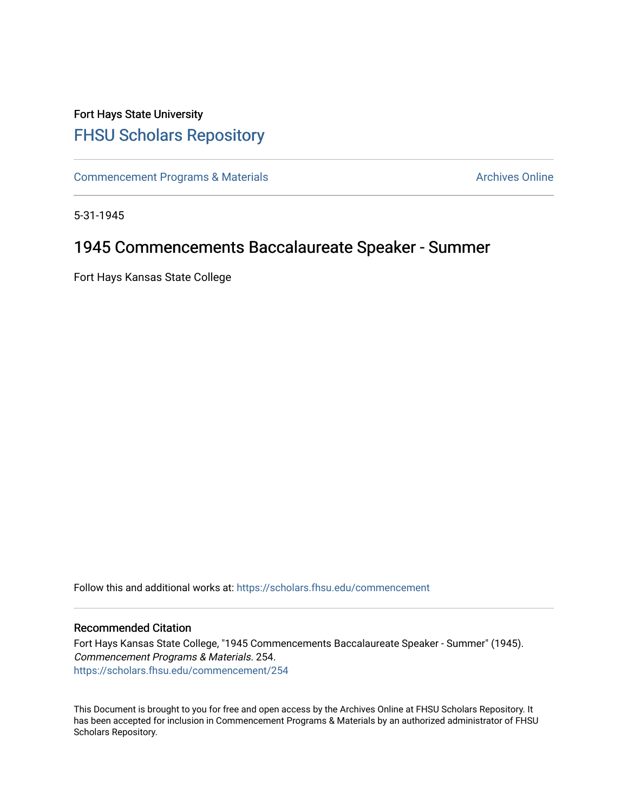## Fort Hays State University [FHSU Scholars Repository](https://scholars.fhsu.edu/)

[Commencement Programs & Materials](https://scholars.fhsu.edu/commencement) **Archives Online** Archives Online

5-31-1945

## 1945 Commencements Baccalaureate Speaker - Summer

Fort Hays Kansas State College

Follow this and additional works at: [https://scholars.fhsu.edu/commencement](https://scholars.fhsu.edu/commencement?utm_source=scholars.fhsu.edu%2Fcommencement%2F254&utm_medium=PDF&utm_campaign=PDFCoverPages)

## Recommended Citation

Fort Hays Kansas State College, "1945 Commencements Baccalaureate Speaker - Summer" (1945). Commencement Programs & Materials. 254. [https://scholars.fhsu.edu/commencement/254](https://scholars.fhsu.edu/commencement/254?utm_source=scholars.fhsu.edu%2Fcommencement%2F254&utm_medium=PDF&utm_campaign=PDFCoverPages)

This Document is brought to you for free and open access by the Archives Online at FHSU Scholars Repository. It has been accepted for inclusion in Commencement Programs & Materials by an authorized administrator of FHSU Scholars Repository.